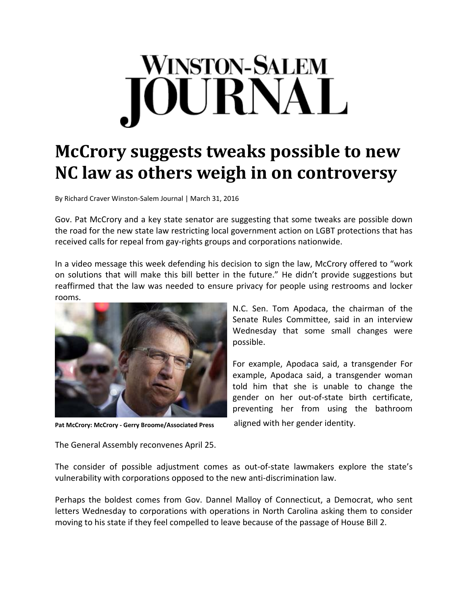## **WINSTON-SALEM** OURNAL

## **McCrory suggests tweaks possible to new NC law as others weigh in on controversy**

By Richard Craver Winston‐Salem Journal | March 31, 2016

Gov. Pat McCrory and a key state senator are suggesting that some tweaks are possible down the road for the new state law restricting local government action on LGBT protections that has received calls for repeal from gay‐rights groups and corporations nationwide.

In a video message this week defending his decision to sign the law, McCrory offered to "work on solutions that will make this bill better in the future." He didn't provide suggestions but reaffirmed that the law was needed to ensure privacy for people using restrooms and locker rooms.



**Pat McCrory: McCrory ‐ Gerry McCrory Broome/Associated Press**

N.C. Sen. Tom Apodaca, the chairman of the Senate Rules Committee, said in an interview Wednesday that some small changes were possible.

For example, Apodaca said, a transgender For example, Apodaca said, a transgender woman told him that she is unable to change the gender on her out‐of‐state birth certificate, preventing her from using the bathroom

aligned with her gender identity.

The General Assembly reconvenes April 25.

The consider of possible adjustment comes as out-of-state lawmakers explore the state's vulnerability with corporations opposed to the new anti‐discrimination law.

Perhaps the boldest comes from Gov. Dannel Malloy of Connecticut, a Democrat, who sent letters Wednesday to corporations with operations in North Carolina asking them to consider moving to his state if they feel compelled to leave because of the passage of House Bill 2.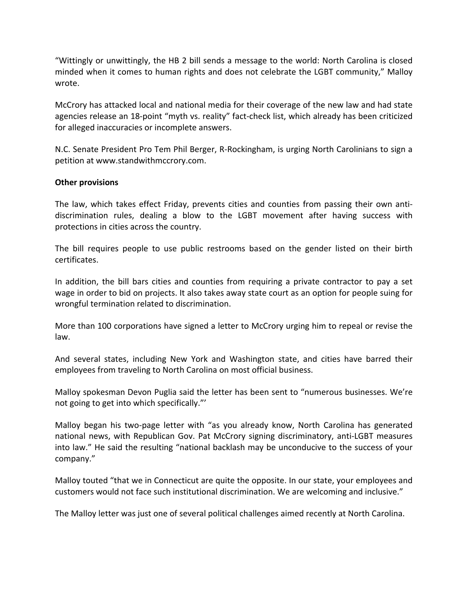"Wittingly or unwittingly, the HB 2 bill sends a message to the world: North Carolina is closed minded when it comes to human rights and does not celebrate the LGBT community," Malloy wrote.

McCrory has attacked local and national media for their coverage of the new law and had state agencies release an 18-point "myth vs. reality" fact-check list, which already has been criticized for alleged inaccuracies or incomplete answers.

N.C. Senate President Pro Tem Phil Berger, R‐Rockingham, is urging North Carolinians to sign a petition at www.standwithmccrory.com.

## **Other provisions**

The law, which takes effect Friday, prevents cities and counties from passing their own anti‐ discrimination rules, dealing a blow to the LGBT movement after having success with protections in cities across the country.

The bill requires people to use public restrooms based on the gender listed on their birth certificates.

In addition, the bill bars cities and counties from requiring a private contractor to pay a set wage in order to bid on projects. It also takes away state court as an option for people suing for wrongful termination related to discrimination.

More than 100 corporations have signed a letter to McCrory urging him to repeal or revise the law.

And several states, including New York and Washington state, and cities have barred their employees from traveling to North Carolina on most official business.

Malloy spokesman Devon Puglia said the letter has been sent to "numerous businesses. We're not going to get into which specifically."'

Malloy began his two‐page letter with "as you already know, North Carolina has generated national news, with Republican Gov. Pat McCrory signing discriminatory, anti-LGBT measures into law." He said the resulting "national backlash may be unconducive to the success of your company."

Malloy touted "that we in Connecticut are quite the opposite. In our state, your employees and customers would not face such institutional discrimination. We are welcoming and inclusive."

The Malloy letter was just one of several political challenges aimed recently at North Carolina.